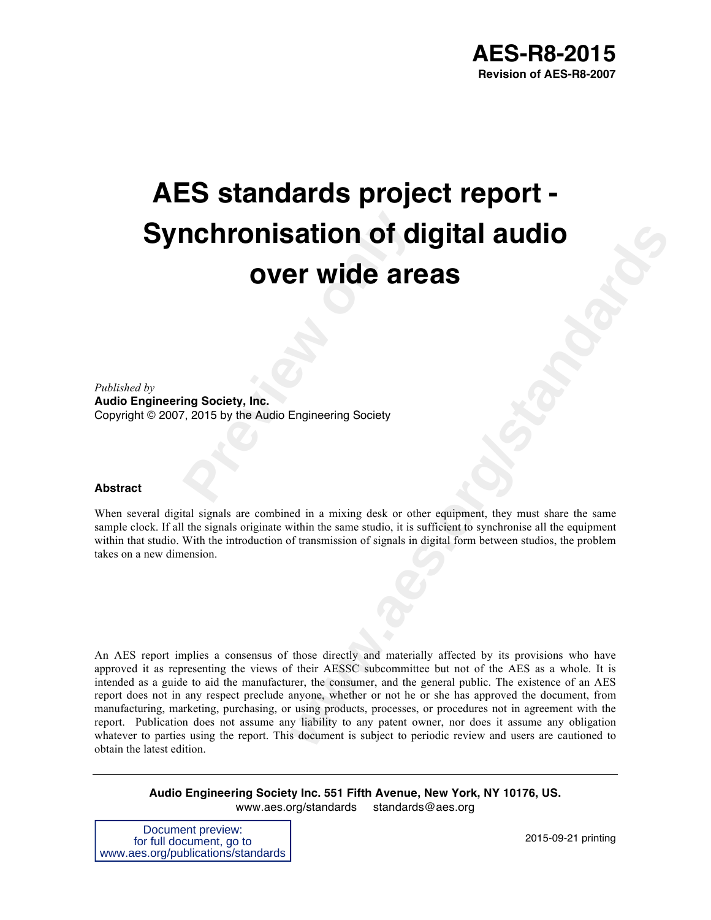# **Propose Society, Inc.<br>
<b>Propose Society, Inc.**<br>
Propose Audio Engineering Society<br>
Propose Audio Engineering Society **AES standards project report - Synchronisation of digital audio over wide areas**

*Published by*  **Audio Engineering Society, Inc.** Copyright © 2007, 2015 by the Audio Engineering Society

#### **Abstract**

When several digital signals are combined in a mixing desk or other equipment, they must share the same sample clock. If all the signals originate within the same studio, it is sufficient to synchronise all the equipment within that studio. With the introduction of transmission of signals in digital form between studios, the problem takes on a new dimension.

**Example 16 Solution Control Control Control Control Control Control Control Control Control Control Control Control Control Control Control Control Control Control Control Control Control Control Control Control Control C** An AES report implies a consensus of those directly and materially affected by its provisions who have approved it as representing the views of their AESSC subcommittee but not of the AES as a whole. It is intended as a guide to aid the manufacturer, the consumer, and the general public. The existence of an AES report does not in any respect preclude anyone, whether or not he or she has approved the document, from manufacturing, marketing, purchasing, or using products, processes, or procedures not in agreement with the report. Publication does not assume any liability to any patent owner, nor does it assume any obligation whatever to parties using the report. This document is subject to periodic review and users are cautioned to obtain the latest edition.

**Audio Engineering Society Inc. 551 Fifth Avenue, New York, NY 10176, US.** www.aes.org/standards standards@aes.org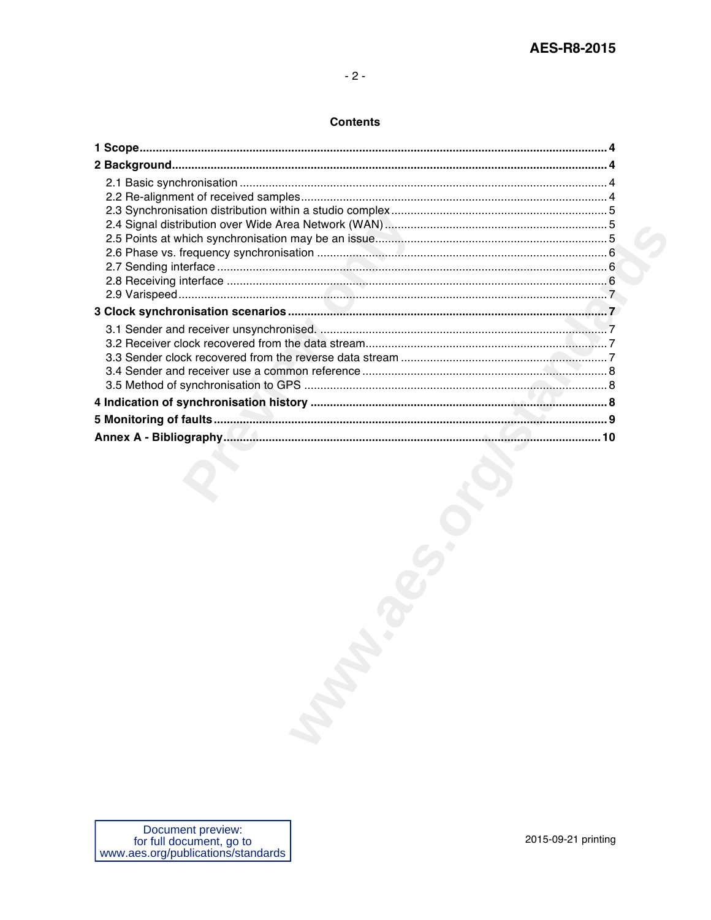#### **Contents**

| Document preview:<br>for full document, go to |  |
|-----------------------------------------------|--|
| 2015-09-21 printing                           |  |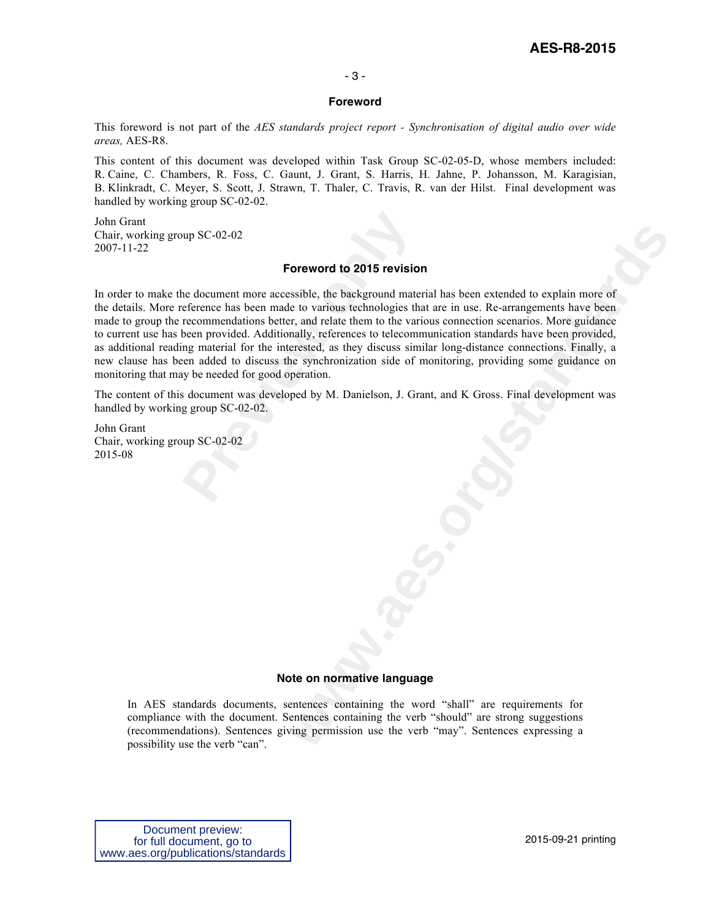### **AES-R8-2015**

#### - 3 -

#### **Foreword**

This foreword is not part of the *AES standards project report - Synchronisation of digital audio over wide areas,* AES-R8.

This content of this document was developed within Task Group SC-02-05-D, whose members included: R. Caine, C. Chambers, R. Foss, C. Gaunt, J. Grant, S. Harris, H. Jahne, P. Johansson, M. Karagisian, B. Klinkradt, C. Meyer, S. Scott, J. Strawn, T. Thaler, C. Travis, R. van der Hilst. Final development was handled by working group SC-02-02.

John Grant Chair, working group SC-02-02 2007-11-22

#### **Foreword to 2015 revision**

**Processive Algebra CONDEX**<br>**Processes Processes Processes Processes Processes Processes Precommendations better, and relate them to the various technologies the recommendations better, and relate them to the v Concert System**<br> **Concert System**<br> **We are the background material has been extended to explain more of<br>
te to various technologies that are in use. Re-arrangements have been<br>
radiate them to the various connection scenar** In order to make the document more accessible, the background material has been extended to explain more of the details. More reference has been made to various technologies that are in use. Re-arrangements have been made to group the recommendations better, and relate them to the various connection scenarios. More guidance to current use has been provided. Additionally, references to telecommunication standards have been provided, as additional reading material for the interested, as they discuss similar long-distance connections. Finally, a new clause has been added to discuss the synchronization side of monitoring, providing some guidance on monitoring that may be needed for good operation.

The content of this document was developed by M. Danielson, J. Grant, and K Gross. Final development was handled by working group SC-02-02.

John Grant Chair, working group SC-02-02 2015-08

#### **Note on normative language**

In AES standards documents, sentences containing the word "shall" are requirements for compliance with the document. Sentences containing the verb "should" are strong suggestions (recommendations). Sentences giving permission use the verb "may". Sentences expressing a possibility use the verb "can".